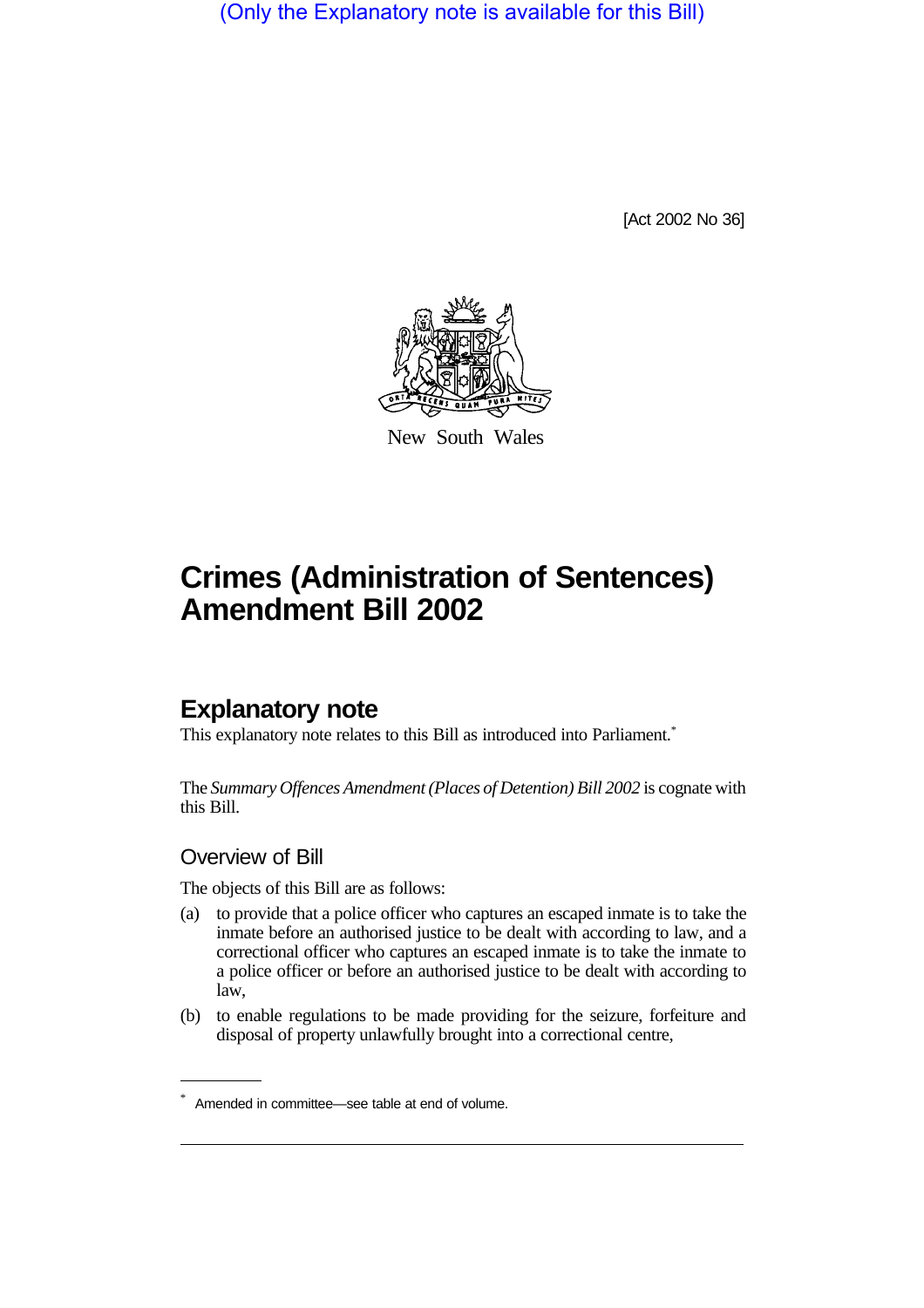(Only the Explanatory note is available for this Bill)

[Act 2002 No 36]



New South Wales

# **Crimes (Administration of Sentences) Amendment Bill 2002**

## **Explanatory note**

This explanatory note relates to this Bill as introduced into Parliament.<sup>\*</sup>

The *Summary Offences Amendment (Places of Detention) Bill 2002* is cognate with this Bill.

### Overview of Bill

The objects of this Bill are as follows:

- (a) to provide that a police officer who captures an escaped inmate is to take the inmate before an authorised justice to be dealt with according to law, and a correctional officer who captures an escaped inmate is to take the inmate to a police officer or before an authorised justice to be dealt with according to law,
- (b) to enable regulations to be made providing for the seizure, forfeiture and disposal of property unlawfully brought into a correctional centre,

Amended in committee—see table at end of volume.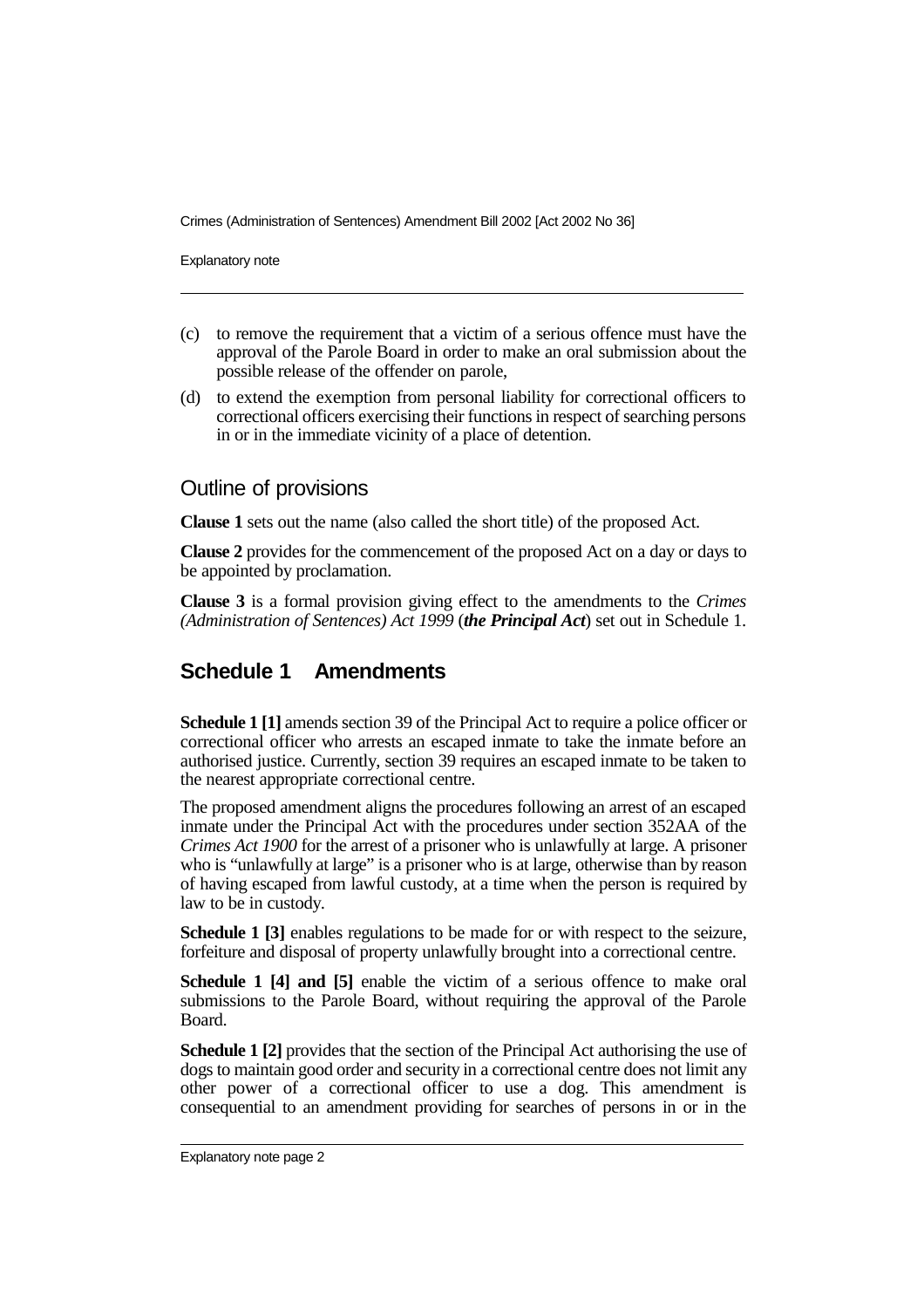Crimes (Administration of Sentences) Amendment Bill 2002 [Act 2002 No 36]

Explanatory note

- (c) to remove the requirement that a victim of a serious offence must have the approval of the Parole Board in order to make an oral submission about the possible release of the offender on parole,
- (d) to extend the exemption from personal liability for correctional officers to correctional officers exercising their functions in respect of searching persons in or in the immediate vicinity of a place of detention.

#### Outline of provisions

**Clause 1** sets out the name (also called the short title) of the proposed Act.

**Clause 2** provides for the commencement of the proposed Act on a day or days to be appointed by proclamation.

**Clause 3** is a formal provision giving effect to the amendments to the *Crimes (Administration of Sentences) Act 1999* (*the Principal Act*) set out in Schedule 1.

### **Schedule 1 Amendments**

**Schedule 1 [1]** amends section 39 of the Principal Act to require a police officer or correctional officer who arrests an escaped inmate to take the inmate before an authorised justice. Currently, section 39 requires an escaped inmate to be taken to the nearest appropriate correctional centre.

The proposed amendment aligns the procedures following an arrest of an escaped inmate under the Principal Act with the procedures under section 352AA of the *Crimes Act 1900* for the arrest of a prisoner who is unlawfully at large. A prisoner who is "unlawfully at large" is a prisoner who is at large, otherwise than by reason of having escaped from lawful custody, at a time when the person is required by law to be in custody.

**Schedule 1 [3]** enables regulations to be made for or with respect to the seizure, forfeiture and disposal of property unlawfully brought into a correctional centre.

**Schedule 1 [4] and [5]** enable the victim of a serious offence to make oral submissions to the Parole Board, without requiring the approval of the Parole Board.

**Schedule 1 [2]** provides that the section of the Principal Act authorising the use of dogs to maintain good order and security in a correctional centre does not limit any other power of a correctional officer to use a dog. This amendment is consequential to an amendment providing for searches of persons in or in the